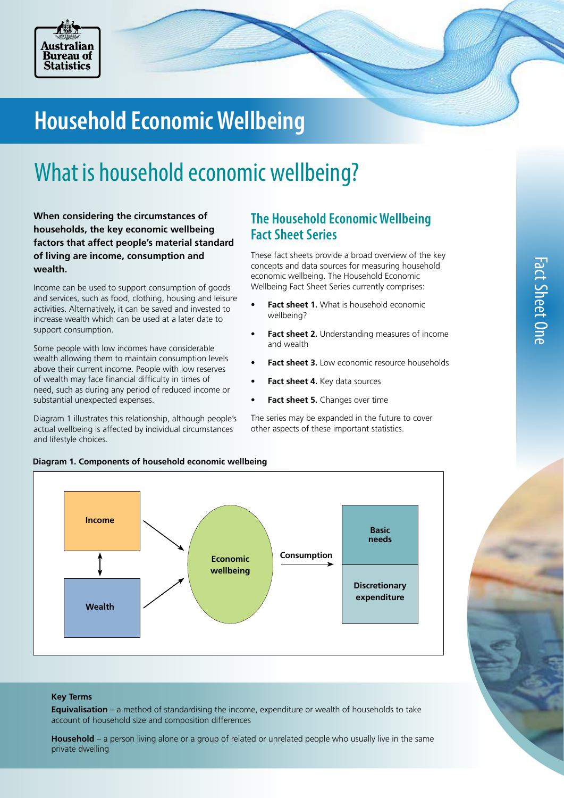

# **Household Economic Wellbeing**

# What is household economic wellbeing?

**When considering the circumstances of households, the key economic wellbeing factors that affect people's material standard of living are income, consumption and wealth.** 

Income can be used to support consumption of goods and services, such as food, clothing, housing and leisure activities. Alternatively, it can be saved and invested to increase wealth which can be used at a later date to support consumption.

Some people with low incomes have considerable wealth allowing them to maintain consumption levels above their current income. People with low reserves of wealth may face financial difficulty in times of need, such as during any period of reduced income or substantial unexpected expenses.

Diagram 1 illustrates this relationship, although people's actual wellbeing is affected by individual circumstances and lifestyle choices.

# **The Household Economic Wellbeing Fact Sheet Series**

These fact sheets provide a broad overview of the key concepts and data sources for measuring household economic wellbeing. The Household Economic Wellbeing Fact Sheet Series currently comprises:

- **• Fact sheet 1.** What is household economic wellbeing?
- **• Fact sheet 2.** Understanding measures of income and wealth
- **• Fact sheet 3.** Low economic resource households
- **• Fact sheet 4.** Key data sources
- **• Fact sheet 5.** Changes over time

The series may be expanded in the future to cover other aspects of these important statistics.



### **Diagram 1. Components of household economic wellbeing**

### **Key Terms**

**Equivalisation** – a method of standardising the income, expenditure or wealth of households to take account of household size and composition differences

**Household** – a person living alone or a group of related or unrelated people who usually live in the same private dwelling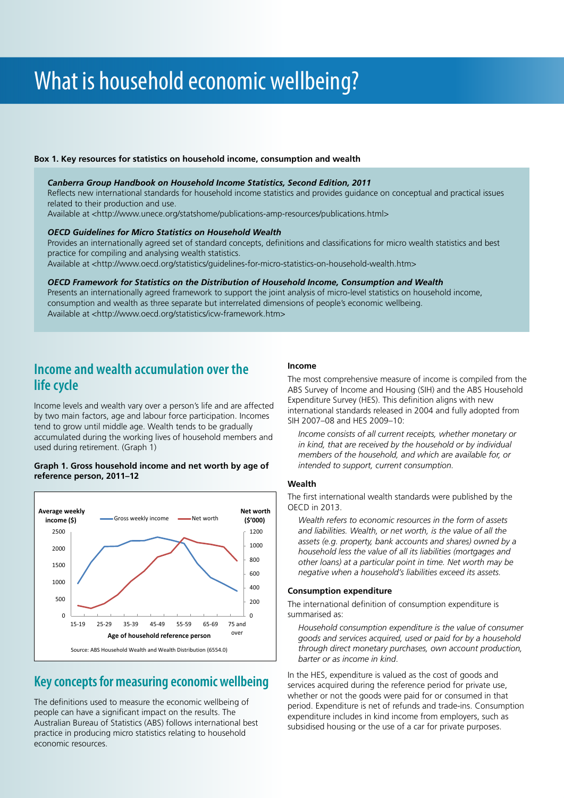# What is household economic wellbeing?

### **Box 1. Key resources for statistics on household income, consumption and wealth**

### *Canberra Group Handbook on Household Income Statistics, Second Edition, 2011*

Reflects new international standards for household income statistics and provides guidance on conceptual and practical issues related to their production and use.

Available at <http://www.unece.org/statshome/publications-amp-resources/publications.html>

### *OECD Guidelines for Micro Statistics on Household Wealth*

Provides an internationally agreed set of standard concepts, definitions and classifications for micro wealth statistics and best practice for compiling and analysing wealth statistics.

Available at <http://www.oecd.org/statistics/guidelines-for-micro-statistics-on-household-wealth.htm>

### *OECD Framework for Statistics on the Distribution of Household Income, Consumption and Wealth*

Presents an internationally agreed framework to support the joint analysis of micro-level statistics on household income, consumption and wealth as three separate but interrelated dimensions of people's economic wellbeing. Available at <http://www.oecd.org/statistics/icw-framework.htm>

## **Income and wealth accumulation over the life cycle**

Income levels and wealth vary over a person's life and are affected by two main factors, age and labour force participation. Incomes tend to grow until middle age. Wealth tends to be gradually accumulated during the working lives of household members and used during retirement. (Graph 1)

### **Graph 1. Gross household income and net worth by age of reference person, 2011–12**



## **Key concepts for measuring economic wellbeing**

The definitions used to measure the economic wellbeing of people can have a significant impact on the results. The Australian Bureau of Statistics (ABS) follows international best practice in producing micro statistics relating to household economic resources.

### **Income**

The most comprehensive measure of income is compiled from the ABS Survey of Income and Housing (SIH) and the ABS Household Expenditure Survey (HES). This definition aligns with new international standards released in 2004 and fully adopted from SIH 2007–08 and HES 2009–10:

*Income consists of all current receipts, whether monetary or in kind, that are received by the household or by individual members of the household, and which are available for, or intended to support, current consumption.* 

### **Wealth**

The first international wealth standards were published by the OECD in 2013.

*Wealth refers to economic resources in the form of assets and liabilities. Wealth, or net worth, is the value of all the assets (e.g. property, bank accounts and shares) owned by a household less the value of all its liabilities (mortgages and other loans) at a particular point in time. Net worth may be negative when a household's liabilities exceed its assets.* 

### **Consumption expenditure**

The international definition of consumption expenditure is summarised as:

*Household consumption expenditure is the value of consumer goods and services acquired, used or paid for by a household through direct monetary purchases, own account production, barter or as income in kind*.

In the HES, expenditure is valued as the cost of goods and services acquired during the reference period for private use, whether or not the goods were paid for or consumed in that period. Expenditure is net of refunds and trade-ins. Consumption expenditure includes in kind income from employers, such as subsidised housing or the use of a car for private purposes.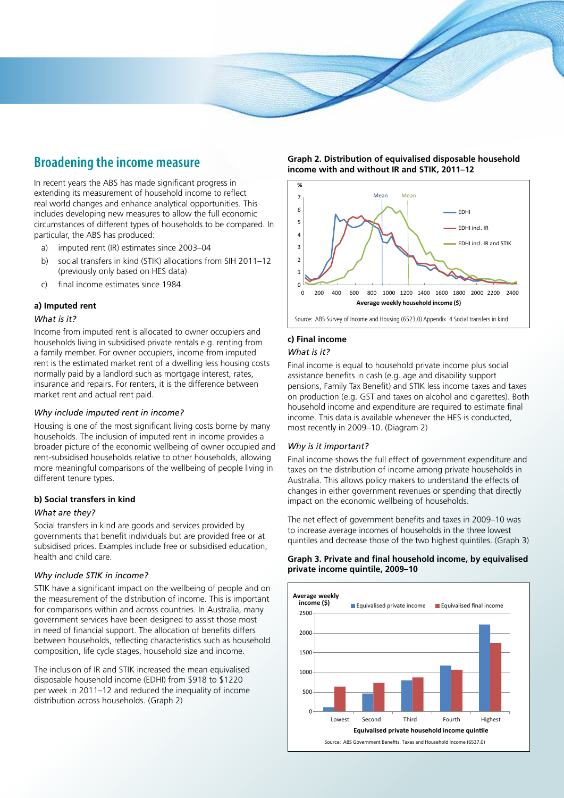# **Broadening the income measure**

In recent years the ABS has made significant progress in extending its measurement of household income to reflect real world changes and enhance analytical opportunities. This includes developing new measures to allow the full economic circumstances of different types of households to be compared. In particular, the ABS has produced:

- a) imputed rent (IR) estimates since 2003–04
- b) social transfers in kind (STIK) allocations from SIH 2011–12 (previously only based on HES data)
- c) final income estimates since 1984.

## **a) Imputed rent**

### *What is it?*

Income from imputed rent is allocated to owner occupiers and households living in subsidised private rentals e.g. renting from a family member. For owner occupiers, income from imputed rent is the estimated market rent of a dwelling less housing costs normally paid by a landlord such as mortgage interest, rates, insurance and repairs. For renters, it is the difference between market rent and actual rent paid.

### *Why include imputed rent in income?*

Housing is one of the most significant living costs borne by many households. The inclusion of imputed rent in income provides a broader picture of the economic wellbeing of owner occupied and rent-subsidised households relative to other households, allowing more meaningful comparisons of the wellbeing of people living in different tenure types.

### **b) Social transfers in kind**

### *What are they?*

Social transfers in kind are goods and services provided by governments that benefit individuals but are provided free or at subsidised prices. Examples include free or subsidised education, health and child care.

### *Why include STIK in income?*

STIK have a significant impact on the wellbeing of people and on the measurement of the distribution of income. This is important for comparisons within and across countries. In Australia, many government services have been designed to assist those most in need of financial support. The allocation of benefits differs between households, reflecting characteristics such as household composition, life cycle stages, household size and income.

The inclusion of IR and STIK increased the mean equivalised disposable household income (EDHI) from \$918 to \$1220 per week in 2011–12 and reduced the inequality of income distribution across households. (Graph 2)

**Graph 2. Distribution of equivalised disposable household income with and without IR and STIK, 2011–12**



Source: ABS Survey of Income and Housing (6523.0) Appendix 4 Social transfers in kind

### **c) Final income**

### *What is it?*

Final income is equal to household private income plus social assistance benefits in cash (e.g. age and disability support pensions, Family Tax Benefit) and STIK less income taxes and taxes on production (e.g. GST and taxes on alcohol and cigarettes). Both household income and expenditure are required to estimate final income. This data is available whenever the HES is conducted, most recently in 2009–10. (Diagram 2)

### *Why is it important?*

Final income shows the full effect of government expenditure and taxes on the distribution of income among private households in Australia. This allows policy makers to understand the effects of changes in either government revenues or spending that directly impact on the economic wellbeing of households.

The net effect of government benefits and taxes in 2009–10 was to increase average incomes of households in the three lowest quintiles and decrease those of the two highest quintiles. (Graph 3)

### **Graph 3. Private and final household income, by equivalised private income quintile, 2009–10**